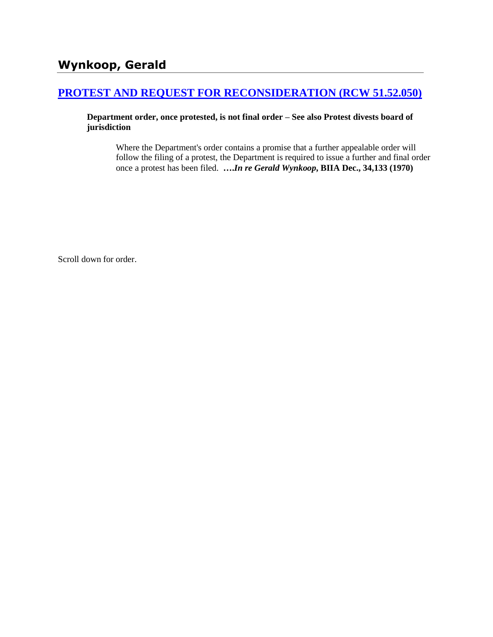## **[PROTEST AND REQUEST FOR RECONSIDERATION \(RCW 51.52.050\)](http://www.biia.wa.gov/SDSubjectIndex.html#PROTEST_AND_REQUEST_FOR_RECONSIDERATION)**

**Department order, once protested, is not final order – See also Protest divests board of jurisdiction**

Where the Department's order contains a promise that a further appealable order will follow the filing of a protest, the Department is required to issue a further and final order once a protest has been filed. **….***In re Gerald Wynkoop***, BIIA Dec., 34,133 (1970)** 

Scroll down for order.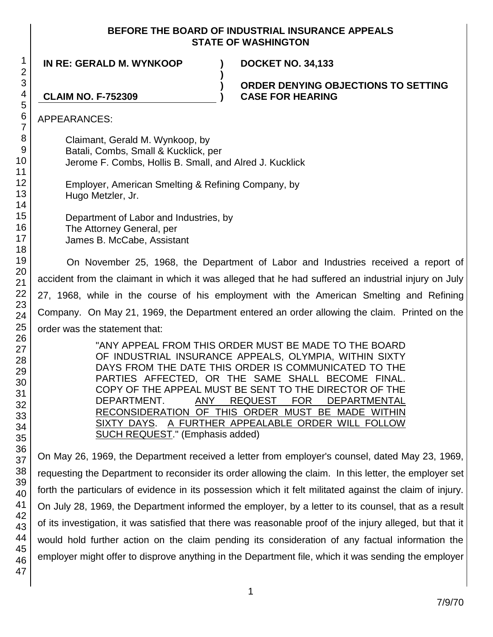## **BEFORE THE BOARD OF INDUSTRIAL INSURANCE APPEALS STATE OF WASHINGTON**

**)**

**) )**

**IN RE: GERALD M. WYNKOOP ) DOCKET NO. 34,133**

**ORDER DENYING OBJECTIONS TO SETTING CASE FOR HEARING**

**CLAIM NO. F-752309**

APPEARANCES:

Claimant, Gerald M. Wynkoop, by Batali, Combs, Small & Kucklick, per Jerome F. Combs, Hollis B. Small, and Alred J. Kucklick

Employer, American Smelting & Refining Company, by Hugo Metzler, Jr.

Department of Labor and Industries, by The Attorney General, per James B. McCabe, Assistant

On November 25, 1968, the Department of Labor and Industries received a report of accident from the claimant in which it was alleged that he had suffered an industrial injury on July 27, 1968, while in the course of his employment with the American Smelting and Refining Company. On May 21, 1969, the Department entered an order allowing the claim. Printed on the order was the statement that:

> "ANY APPEAL FROM THIS ORDER MUST BE MADE TO THE BOARD OF INDUSTRIAL INSURANCE APPEALS, OLYMPIA, WITHIN SIXTY DAYS FROM THE DATE THIS ORDER IS COMMUNICATED TO THE PARTIES AFFECTED, OR THE SAME SHALL BECOME FINAL. COPY OF THE APPEAL MUST BE SENT TO THE DIRECTOR OF THE DEPARTMENT. ANY REQUEST FOR DEPARTMENTAL RECONSIDERATION OF THIS ORDER MUST BE MADE WITHIN SIXTY DAYS. A FURTHER APPEALABLE ORDER WILL FOLLOW SUCH REQUEST." (Emphasis added)

On May 26, 1969, the Department received a letter from employer's counsel, dated May 23, 1969, requesting the Department to reconsider its order allowing the claim. In this letter, the employer set forth the particulars of evidence in its possession which it felt militated against the claim of injury. On July 28, 1969, the Department informed the employer, by a letter to its counsel, that as a result of its investigation, it was satisfied that there was reasonable proof of the injury alleged, but that it would hold further action on the claim pending its consideration of any factual information the employer might offer to disprove anything in the Department file, which it was sending the employer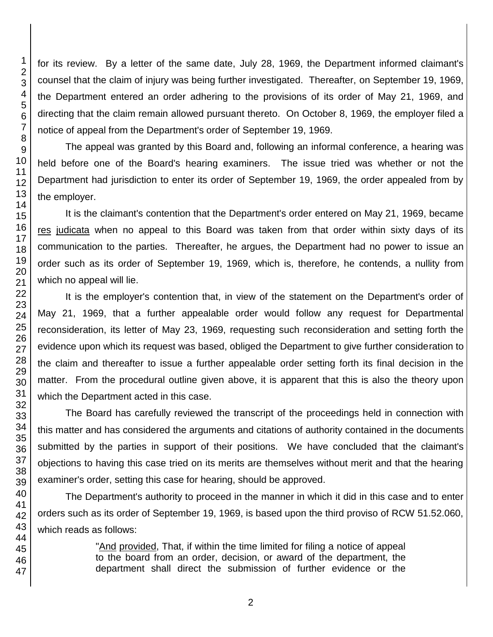for its review. By a letter of the same date, July 28, 1969, the Department informed claimant's counsel that the claim of injury was being further investigated. Thereafter, on September 19, 1969, the Department entered an order adhering to the provisions of its order of May 21, 1969, and directing that the claim remain allowed pursuant thereto. On October 8, 1969, the employer filed a notice of appeal from the Department's order of September 19, 1969.

The appeal was granted by this Board and, following an informal conference, a hearing was held before one of the Board's hearing examiners. The issue tried was whether or not the Department had jurisdiction to enter its order of September 19, 1969, the order appealed from by the employer.

It is the claimant's contention that the Department's order entered on May 21, 1969, became res judicata when no appeal to this Board was taken from that order within sixty days of its communication to the parties. Thereafter, he argues, the Department had no power to issue an order such as its order of September 19, 1969, which is, therefore, he contends, a nullity from which no appeal will lie.

It is the employer's contention that, in view of the statement on the Department's order of May 21, 1969, that a further appealable order would follow any request for Departmental reconsideration, its letter of May 23, 1969, requesting such reconsideration and setting forth the evidence upon which its request was based, obliged the Department to give further consideration to the claim and thereafter to issue a further appealable order setting forth its final decision in the matter. From the procedural outline given above, it is apparent that this is also the theory upon which the Department acted in this case.

The Board has carefully reviewed the transcript of the proceedings held in connection with this matter and has considered the arguments and citations of authority contained in the documents submitted by the parties in support of their positions. We have concluded that the claimant's objections to having this case tried on its merits are themselves without merit and that the hearing examiner's order, setting this case for hearing, should be approved.

The Department's authority to proceed in the manner in which it did in this case and to enter orders such as its order of September 19, 1969, is based upon the third proviso of RCW 51.52.060, which reads as follows:

> "And provided, That, if within the time limited for filing a notice of appeal to the board from an order, decision, or award of the department, the department shall direct the submission of further evidence or the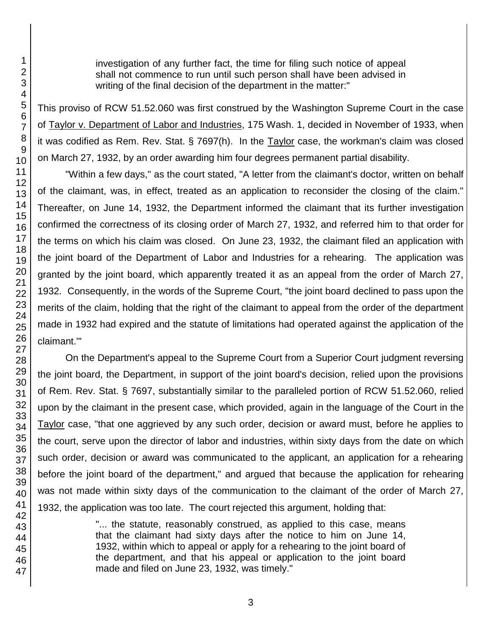investigation of any further fact, the time for filing such notice of appeal shall not commence to run until such person shall have been advised in writing of the final decision of the department in the matter:"

This proviso of RCW 51.52.060 was first construed by the Washington Supreme Court in the case of Taylor v. Department of Labor and Industries, 175 Wash. 1, decided in November of 1933, when it was codified as Rem. Rev. Stat. § 7697(h). In the Taylor case, the workman's claim was closed on March 27, 1932, by an order awarding him four degrees permanent partial disability.

"Within a few days," as the court stated, "A letter from the claimant's doctor, written on behalf of the claimant, was, in effect, treated as an application to reconsider the closing of the claim." Thereafter, on June 14, 1932, the Department informed the claimant that its further investigation confirmed the correctness of its closing order of March 27, 1932, and referred him to that order for the terms on which his claim was closed. On June 23, 1932, the claimant filed an application with the joint board of the Department of Labor and Industries for a rehearing. The application was granted by the joint board, which apparently treated it as an appeal from the order of March 27, 1932. Consequently, in the words of the Supreme Court, "the joint board declined to pass upon the merits of the claim, holding that the right of the claimant to appeal from the order of the department made in 1932 had expired and the statute of limitations had operated against the application of the claimant.'"

On the Department's appeal to the Supreme Court from a Superior Court judgment reversing the joint board, the Department, in support of the joint board's decision, relied upon the provisions of Rem. Rev. Stat. § 7697, substantially similar to the paralleled portion of RCW 51.52.060, relied upon by the claimant in the present case, which provided, again in the language of the Court in the Taylor case, "that one aggrieved by any such order, decision or award must, before he applies to the court, serve upon the director of labor and industries, within sixty days from the date on which such order, decision or award was communicated to the applicant, an application for a rehearing before the joint board of the department," and argued that because the application for rehearing was not made within sixty days of the communication to the claimant of the order of March 27, 1932, the application was too late. The court rejected this argument, holding that:

> "... the statute, reasonably construed, as applied to this case, means that the claimant had sixty days after the notice to him on June 14, 1932, within which to appeal or apply for a rehearing to the joint board of the department, and that his appeal or application to the joint board made and filed on June 23, 1932, was timely."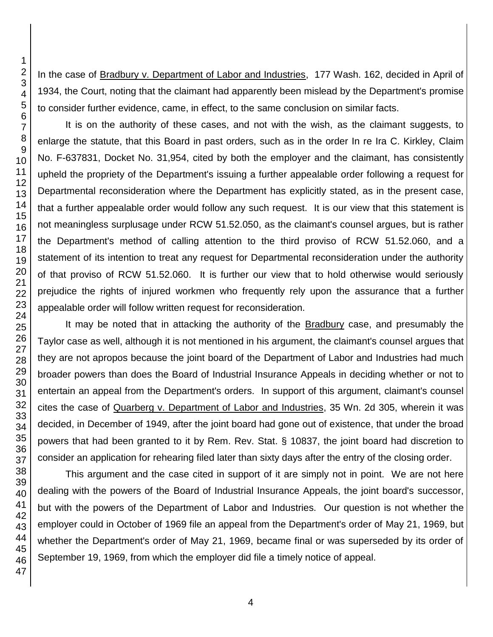In the case of Bradbury v. Department of Labor and Industries, 177 Wash. 162, decided in April of 1934, the Court, noting that the claimant had apparently been mislead by the Department's promise to consider further evidence, came, in effect, to the same conclusion on similar facts.

It is on the authority of these cases, and not with the wish, as the claimant suggests, to enlarge the statute, that this Board in past orders, such as in the order In re Ira C. Kirkley, Claim No. F-637831, Docket No. 31,954, cited by both the employer and the claimant, has consistently upheld the propriety of the Department's issuing a further appealable order following a request for Departmental reconsideration where the Department has explicitly stated, as in the present case, that a further appealable order would follow any such request. It is our view that this statement is not meaningless surplusage under RCW 51.52.050, as the claimant's counsel argues, but is rather the Department's method of calling attention to the third proviso of RCW 51.52.060, and a statement of its intention to treat any request for Departmental reconsideration under the authority of that proviso of RCW 51.52.060. It is further our view that to hold otherwise would seriously prejudice the rights of injured workmen who frequently rely upon the assurance that a further appealable order will follow written request for reconsideration.

It may be noted that in attacking the authority of the Bradbury case, and presumably the Taylor case as well, although it is not mentioned in his argument, the claimant's counsel argues that they are not apropos because the joint board of the Department of Labor and Industries had much broader powers than does the Board of Industrial Insurance Appeals in deciding whether or not to entertain an appeal from the Department's orders. In support of this argument, claimant's counsel cites the case of Quarberg v. Department of Labor and Industries, 35 Wn. 2d 305, wherein it was decided, in December of 1949, after the joint board had gone out of existence, that under the broad powers that had been granted to it by Rem. Rev. Stat. § 10837, the joint board had discretion to consider an application for rehearing filed later than sixty days after the entry of the closing order.

This argument and the case cited in support of it are simply not in point. We are not here dealing with the powers of the Board of Industrial Insurance Appeals, the joint board's successor, but with the powers of the Department of Labor and Industries. Our question is not whether the employer could in October of 1969 file an appeal from the Department's order of May 21, 1969, but whether the Department's order of May 21, 1969, became final or was superseded by its order of September 19, 1969, from which the employer did file a timely notice of appeal.